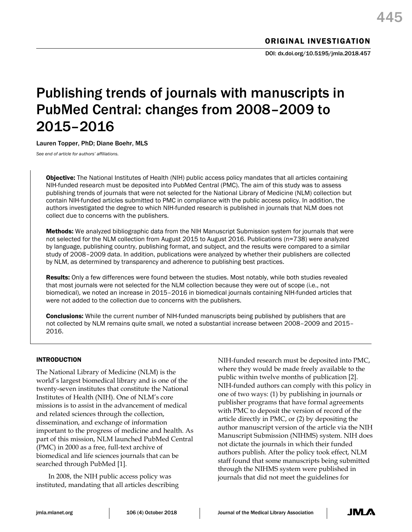# Publishing trends of journals with manuscripts in PubMed Central: changes from 2008–2009 to 2015–2016

# Lauren Topper, PhD; Diane Boehr, MLS

*See end of article for authors' affiliations.*

Objective: The National Institutes of Health (NIH) public access policy mandates that all articles containing NIH-funded research must be deposited into PubMed Central (PMC). The aim of this study was to assess publishing trends of journals that were not selected for the National Library of Medicine (NLM) collection but contain NIH-funded articles submitted to PMC in compliance with the public access policy. In addition, the authors investigated the degree to which NIH-funded research is published in journals that NLM does not collect due to concerns with the publishers.

Methods: We analyzed bibliographic data from the NIH Manuscript Submission system for journals that were not selected for the NLM collection from August 2015 to August 2016. Publications (n=738) were analyzed by language, publishing country, publishing format, and subject, and the results were compared to a similar study of 2008–2009 data. In addition, publications were analyzed by whether their publishers are collected by NLM, as determined by transparency and adherence to publishing best practices.

Results: Only a few differences were found between the studies. Most notably, while both studies revealed that most journals were not selected for the NLM collection because they were out of scope (i.e., not biomedical), we noted an increase in 2015–2016 in biomedical journals containing NIH-funded articles that were not added to the collection due to concerns with the publishers.

**Conclusions:** While the current number of NIH-funded manuscripts being published by publishers that are not collected by NLM remains quite small, we noted a substantial increase between 2008–2009 and 2015– 2016.

# INTRODUCTION

The National Library of Medicine (NLM) is the world's largest biomedical library and is one of the twenty-seven institutes that constitute the National Institutes of Health (NIH). One of NLM's core missions is to assist in the advancement of medical and related sciences through the collection, dissemination, and exchange of information important to the progress of medicine and health. As part of this mission, NLM launched PubMed Central (PMC) in 2000 as a free, full-text archive of biomedical and life sciences journals that can be searched through PubMed [1].

In 2008, the NIH public access policy was instituted, mandating that all articles describing

NIH-funded research must be deposited into PMC, where they would be made freely available to the public within twelve months of publication [2]. NIH-funded authors can comply with this policy in one of two ways: (1) by publishing in journals or publisher programs that have formal agreements with PMC to deposit the version of record of the article directly in PMC, or (2) by depositing the author manuscript version of the article via the NIH Manuscript Submission (NIHMS) system. NIH does not dictate the journals in which their funded authors publish. After the policy took effect, NLM staff found that some manuscripts being submitted through the NIHMS system were published in journals that did not meet the guidelines for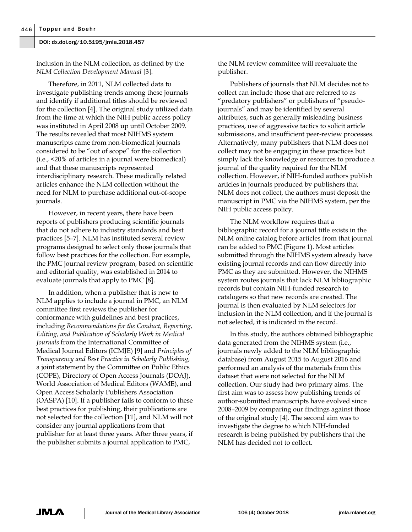inclusion in the NLM collection, as defined by the *NLM Collection Development Manual* [3].

Therefore, in 2011, NLM collected data to investigate publishing trends among these journals and identify if additional titles should be reviewed for the collection [4]. The original study utilized data from the time at which the NIH public access policy was instituted in April 2008 up until October 2009. The results revealed that most NIHMS system manuscripts came from non-biomedical journals considered to be "out of scope" for the collection (i.e., <20% of articles in a journal were biomedical) and that these manuscripts represented interdisciplinary research. These medically related articles enhance the NLM collection without the need for NLM to purchase additional out-of-scope journals.

However, in recent years, there have been reports of publishers producing scientific journals that do not adhere to industry standards and best practices [5–7]. NLM has instituted several review programs designed to select only those journals that follow best practices for the collection. For example, the PMC journal review program, based on scientific and editorial quality, was established in 2014 to evaluate journals that apply to PMC [8].

In addition, when a publisher that is new to NLM applies to include a journal in PMC, an NLM committee first reviews the publisher for conformance with guidelines and best practices, including *Recommendations for the Conduct, Reporting, Editing, and Publication of Scholarly Work in Medical Journals* from the International Committee of Medical Journal Editors (ICMJE) [9] and *Principles of Transparency and Best Practice in Scholarly Publishing,* a joint statement by the Committee on Public Ethics (COPE), Directory of Open Access Journals (DOAJ), World Association of Medical Editors (WAME), and Open Access Scholarly Publishers Association (OASPA) [10]. If a publisher fails to conform to these best practices for publishing, their publications are not selected for the collection [11], and NLM will not consider any journal applications from that publisher for at least three years. After three years, if the publisher submits a journal application to PMC,

the NLM review committee will reevaluate the publisher.

Publishers of journals that NLM decides not to collect can include those that are referred to as "predatory publishers" or publishers of "pseudojournals" and may be identified by several attributes, such as generally misleading business practices, use of aggressive tactics to solicit article submissions, and insufficient peer-review processes. Alternatively, many publishers that NLM does not collect may not be engaging in these practices but simply lack the knowledge or resources to produce a journal of the quality required for the NLM collection. However, if NIH-funded authors publish articles in journals produced by publishers that NLM does not collect, the authors must deposit the manuscript in PMC via the NIHMS system, per the NIH public access policy.

The NLM workflow requires that a bibliographic record for a journal title exists in the NLM online catalog before articles from that journal can be added to PMC (Figure 1). Most articles submitted through the NIHMS system already have existing journal records and can flow directly into PMC as they are submitted. However, the NIHMS system routes journals that lack NLM bibliographic records but contain NIH-funded research to catalogers so that new records are created. The journal is then evaluated by NLM selectors for inclusion in the NLM collection, and if the journal is not selected, it is indicated in the record.

In this study, the authors obtained bibliographic data generated from the NIHMS system (i.e., journals newly added to the NLM bibliographic database) from August 2015 to August 2016 and performed an analysis of the materials from this dataset that were not selected for the NLM collection. Our study had two primary aims. The first aim was to assess how publishing trends of author-submitted manuscripts have evolved since 2008–2009 by comparing our findings against those of the original study [4]. The second aim was to investigate the degree to which NIH-funded research is being published by publishers that the NLM has decided not to collect.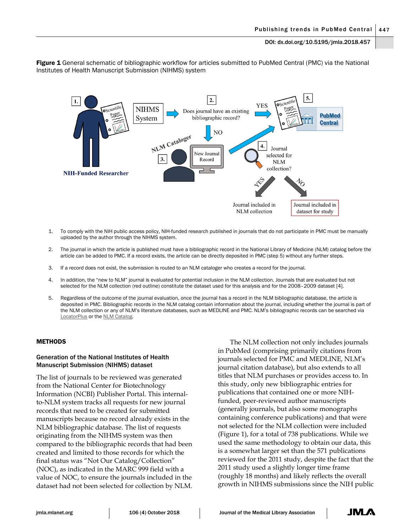Figure 1 General schematic of bibliographic workflow for articles submitted to PubMed Central (PMC) via the National Institutes of Health Manuscript Submission (NIHMS) system



- 1. To comply with the NIH public access policy, NIH-funded research published in journals that do not participate in PMC must be manually uploaded by the author through the NIHMS system.
- 2. The journal in which the article is published must have a bibliographic record in the National Library of Medicine (NLM) catalog before the article can be added to PMC. If a record exists, the article can be directly deposited in PMC (step 5) without any further steps.
- 3. If a record does not exist, the submission is routed to an NLM cataloger who creates a record for the journal.
- 4. In addition, the "new to NLM" journal is evaluated for potential inclusion in the NLM collection. Journals that are evaluated but not selected for the NLM collection (red outline) constitute the dataset used for this analysis and for the 2008–2009 dataset [4].
- 5. Regardless of the outcome of the journal evaluation, once the journal has a record in the NLM bibliographic database, the article is deposited in PMC. Bibliographic records in the NLM catalog contain information about the journal, including whether the journal is part of the NLM collection or any of NLM's literature databases, such as MEDLINE and PMC. NLM's bibliographic records can be searched via [LocatorPlus](https://locatorplus.gov/) or th[e NLM Catalog.](https://www.ncbi.nlm.nih.gov/nlmcatalog)

## **METHODS**

## Generation of the National Institutes of Health Manuscript Submission (NIHMS) dataset

The list of journals to be reviewed was generated from the National Center for Biotechnology Information (NCBI) Publisher Portal. This internalto-NLM system tracks all requests for new journal records that need to be created for submitted manuscripts because no record already exists in the NLM bibliographic database. The list of requests originating from the NIHMS system was then compared to the bibliographic records that had been created and limited to those records for which the final status was "Not Our Catalog/Collection" (NOC), as indicated in the MARC 999 field with a value of NOC, to ensure the journals included in the dataset had not been selected for collection by NLM.

The NLM collection not only includes journals in PubMed (comprising primarily citations from journals selected for PMC and MEDLINE, NLM's journal citation database), but also extends to all titles that NLM purchases or provides access to. In this study, only new bibliographic entries for publications that contained one or more NIHfunded, peer-reviewed author manuscripts (generally journals, but also some monographs containing conference publications) and that were not selected for the NLM collection were included (Figure 1), for a total of 738 publications. While we used the same methodology to obtain our data, this is a somewhat larger set than the 571 publications reviewed for the 2011 study, despite the fact that the 2011 study used a slightly longer time frame (roughly 18 months) and likely reflects the overall growth in NIHMS submissions since the NIH public

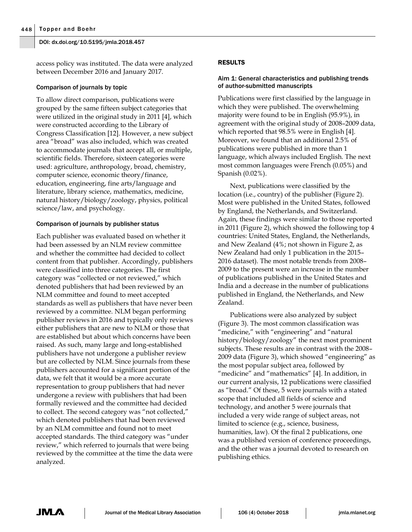access policy was instituted. The data were analyzed between December 2016 and January 2017.

## Comparison of journals by topic

To allow direct comparison, publications were grouped by the same fifteen subject categories that were utilized in the original study in 2011 [4], which were constructed according to the Library of Congress Classification [12]. However, a new subject area "broad" was also included, which was created to accommodate journals that accept all, or multiple, scientific fields. Therefore, sixteen categories were used: agriculture, anthropology, broad, chemistry, computer science, economic theory/finance, education, engineering, fine arts/language and literature, library science, mathematics, medicine, natural history/biology/zoology, physics, political science/law, and psychology.

# Comparison of journals by publisher status

Each publisher was evaluated based on whether it had been assessed by an NLM review committee and whether the committee had decided to collect content from that publisher. Accordingly, publishers were classified into three categories. The first category was "collected or not reviewed," which denoted publishers that had been reviewed by an NLM committee and found to meet accepted standards as well as publishers that have never been reviewed by a committee. NLM began performing publisher reviews in 2016 and typically only reviews either publishers that are new to NLM or those that are established but about which concerns have been raised. As such, many large and long-established publishers have not undergone a publisher review but are collected by NLM. Since journals from these publishers accounted for a significant portion of the data, we felt that it would be a more accurate representation to group publishers that had never undergone a review with publishers that had been formally reviewed and the committee had decided to collect. The second category was "not collected," which denoted publishers that had been reviewed by an NLM committee and found not to meet accepted standards. The third category was "under review," which referred to journals that were being reviewed by the committee at the time the data were analyzed.

# RESULTS

# Aim 1: General characteristics and publishing trends of author-submitted manuscripts

Publications were first classified by the language in which they were published. The overwhelming majority were found to be in English (95.9%), in agreement with the original study of 2008–2009 data, which reported that 98.5% were in English [4]. Moreover, we found that an additional 2.5% of publications were published in more than 1 language, which always included English. The next most common languages were French (0.05%) and Spanish (0.02%).

Next, publications were classified by the location (i.e., country) of the publisher (Figure 2). Most were published in the United States, followed by England, the Netherlands, and Switzerland. Again, these findings were similar to those reported in 2011 (Figure 2), which showed the following top 4 countries: United States, England, the Netherlands, and New Zealand (4%; not shown in Figure 2, as New Zealand had only 1 publication in the 2015– 2016 dataset). The most notable trends from 2008– 2009 to the present were an increase in the number of publications published in the United States and India and a decrease in the number of publications published in England, the Netherlands, and New Zealand.

Publications were also analyzed by subject (Figure 3). The most common classification was "medicine," with "engineering" and "natural history/biology/zoology" the next most prominent subjects. These results are in contrast with the 2008– 2009 data (Figure 3), which showed "engineering" as the most popular subject area, followed by "medicine" and "mathematics" [4]. In addition, in our current analysis, 12 publications were classified as "broad." Of these, 5 were journals with a stated scope that included all fields of science and technology, and another 5 were journals that included a very wide range of subject areas, not limited to science (e.g., science, business, humanities, law). Of the final 2 publications, one was a published version of conference proceedings, and the other was a journal devoted to research on publishing ethics.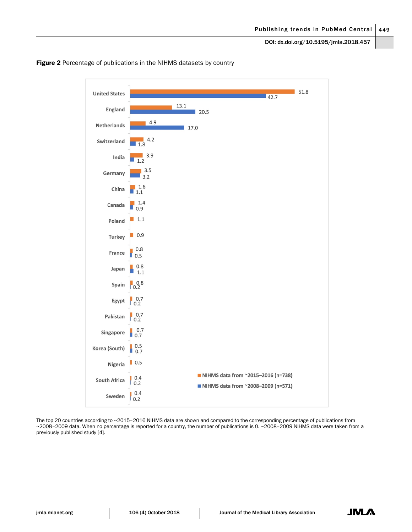

Figure 2 Percentage of publications in the NIHMS datasets by country

The top 20 countries according to ~2015-2016 NIHMS data are shown and compared to the corresponding percentage of publications from ~2008–2009 data. When no percentage is reported for a country, the number of publications is 0. ~2008–2009 NIHMS data were taken from a previously published study [4].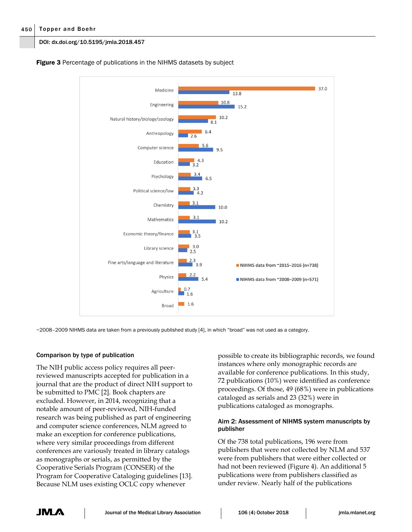## 450 Topper and Boehr

## DOI: dx.doi.org/10.5195/jmla.2018.457



**Figure 3** Percentage of publications in the NIHMS datasets by subject

~2008–2009 NIHMS data are taken from a previously published study [4], in which "broad" was not used as a category.

## Comparison by type of publication

The NIH public access policy requires all peerreviewed manuscripts accepted for publication in a journal that are the product of direct NIH support to be submitted to PMC [2]. Book chapters are excluded. However, in 2014, recognizing that a notable amount of peer-reviewed, NIH-funded research was being published as part of engineering and computer science conferences, NLM agreed to make an exception for conference publications, where very similar proceedings from different conferences are variously treated in library catalogs as monographs or serials, as permitted by the Cooperative Serials Program (CONSER) of the Program for Cooperative Cataloging guidelines [13]. Because NLM uses existing OCLC copy whenever

possible to create its bibliographic records, we found instances where only monographic records are available for conference publications. In this study, 72 publications (10%) were identified as conference proceedings. Of those, 49 (68%) were in publications cataloged as serials and 23 (32%) were in publications cataloged as monographs.

# Aim 2: Assessment of NIHMS system manuscripts by publisher

Of the 738 total publications, 196 were from publishers that were not collected by NLM and 537 were from publishers that were either collected or had not been reviewed (Figure 4). An additional 5 publications were from publishers classified as under review. Nearly half of the publications

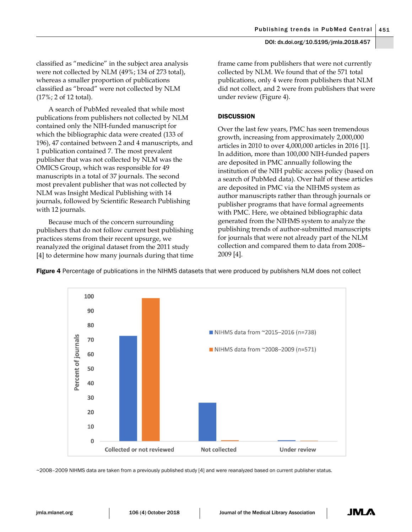classified as "medicine" in the subject area analysis were not collected by NLM (49%; 134 of 273 total), whereas a smaller proportion of publications classified as "broad" were not collected by NLM (17%; 2 of 12 total).

A search of PubMed revealed that while most publications from publishers not collected by NLM contained only the NIH-funded manuscript for which the bibliographic data were created (133 of 196), 47 contained between 2 and 4 manuscripts, and 1 publication contained 7. The most prevalent publisher that was not collected by NLM was the OMICS Group, which was responsible for 49 manuscripts in a total of 37 journals. The second most prevalent publisher that was not collected by NLM was Insight Medical Publishing with 14 journals, followed by Scientific Research Publishing with 12 journals.

Because much of the concern surrounding publishers that do not follow current best publishing practices stems from their recent upsurge, we reanalyzed the original dataset from the 2011 study [4] to determine how many journals during that time frame came from publishers that were not currently collected by NLM. We found that of the 571 total publications, only 4 were from publishers that NLM did not collect, and 2 were from publishers that were under review (Figure 4).

# **DISCUSSION**

Over the last few years, PMC has seen tremendous growth, increasing from approximately 2,000,000 articles in 2010 to over 4,000,000 articles in 2016 [1]. In addition, more than 100,000 NIH-funded papers are deposited in PMC annually following the institution of the NIH public access policy (based on a search of PubMed data). Over half of these articles are deposited in PMC via the NIHMS system as author manuscripts rather than through journals or publisher programs that have formal agreements with PMC. Here, we obtained bibliographic data generated from the NIHMS system to analyze the publishing trends of author-submitted manuscripts for journals that were not already part of the NLM collection and compared them to data from 2008– 2009 [4].



**Figure 4** Percentage of publications in the NIHMS datasets that were produced by publishers NLM does not collect

~2008–2009 NIHMS data are taken from a previously published study [4] and were reanalyzed based on current publisher status.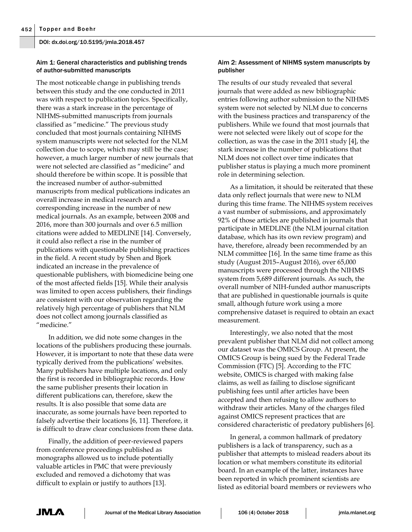# Aim 1: General characteristics and publishing trends of author-submitted manuscripts

The most noticeable change in publishing trends between this study and the one conducted in 2011 was with respect to publication topics. Specifically, there was a stark increase in the percentage of NIHMS-submitted manuscripts from journals classified as "medicine." The previous study concluded that most journals containing NIHMS system manuscripts were not selected for the NLM collection due to scope, which may still be the case; however, a much larger number of new journals that were not selected are classified as "medicine" and should therefore be within scope. It is possible that the increased number of author-submitted manuscripts from medical publications indicates an overall increase in medical research and a corresponding increase in the number of new medical journals. As an example, between 2008 and 2016, more than 300 journals and over 6.5 million citations were added to MEDLINE [14]. Conversely, it could also reflect a rise in the number of publications with questionable publishing practices in the field. A recent study by Shen and Bjork indicated an increase in the prevalence of questionable publishers, with biomedicine being one of the most affected fields [15]. While their analysis was limited to open access publishers, their findings are consistent with our observation regarding the relatively high percentage of publishers that NLM does not collect among journals classified as "medicine."

In addition, we did note some changes in the locations of the publishers producing these journals. However, it is important to note that these data were typically derived from the publications' websites. Many publishers have multiple locations, and only the first is recorded in bibliographic records. How the same publisher presents their location in different publications can, therefore, skew the results. It is also possible that some data are inaccurate, as some journals have been reported to falsely advertise their locations [6, 11]. Therefore, it is difficult to draw clear conclusions from these data.

Finally, the addition of peer-reviewed papers from conference proceedings published as monographs allowed us to include potentially valuable articles in PMC that were previously excluded and removed a dichotomy that was difficult to explain or justify to authors [13].

## Aim 2: Assessment of NIHMS system manuscripts by publisher

The results of our study revealed that several journals that were added as new bibliographic entries following author submission to the NIHMS system were not selected by NLM due to concerns with the business practices and transparency of the publishers. While we found that most journals that were not selected were likely out of scope for the collection, as was the case in the 2011 study [4], the stark increase in the number of publications that NLM does not collect over time indicates that publisher status is playing a much more prominent role in determining selection.

As a limitation, it should be reiterated that these data only reflect journals that were new to NLM during this time frame. The NIHMS system receives a vast number of submissions, and approximately 92% of those articles are published in journals that participate in MEDLINE (the NLM journal citation database, which has its own review program) and have, therefore, already been recommended by an NLM committee [16]. In the same time frame as this study (August 2015–August 2016), over 65,000 manuscripts were processed through the NIHMS system from 5,689 different journals. As such, the overall number of NIH-funded author manuscripts that are published in questionable journals is quite small, although future work using a more comprehensive dataset is required to obtain an exact measurement.

Interestingly, we also noted that the most prevalent publisher that NLM did not collect among our dataset was the OMICS Group. At present, the OMICS Group is being sued by the Federal Trade Commission (FTC) [5]. According to the FTC website, OMICS is charged with making false claims, as well as failing to disclose significant publishing fees until after articles have been accepted and then refusing to allow authors to withdraw their articles. Many of the charges filed against OMICS represent practices that are considered characteristic of predatory publishers [6].

In general, a common hallmark of predatory publishers is a lack of transparency, such as a publisher that attempts to mislead readers about its location or what members constitute its editorial board. In an example of the latter, instances have been reported in which prominent scientists are listed as editorial board members or reviewers who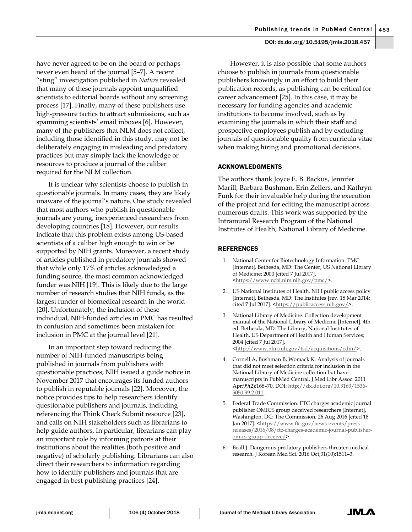have never agreed to be on the board or perhaps never even heard of the journal [5–7]. A recent "sting" investigation published in *Nature* revealed that many of these journals appoint unqualified scientists to editorial boards without any screening process [17]. Finally, many of these publishers use high-pressure tactics to attract submissions, such as spamming scientists' email inboxes [6]. However, many of the publishers that NLM does not collect, including those identified in this study, may not be deliberately engaging in misleading and predatory practices but may simply lack the knowledge or resources to produce a journal of the caliber required for the NLM collection.

It is unclear why scientists choose to publish in questionable journals. In many cases, they are likely unaware of the journal's nature. One study revealed that most authors who publish in questionable journals are young, inexperienced researchers from developing countries [18]. However, our results indicate that this problem exists among US-based scientists of a caliber high enough to win or be supported by NIH grants. Moreover, a recent study of articles published in predatory journals showed that while only 17% of articles acknowledged a funding source, the most common acknowledged funder was NIH [19]. This is likely due to the large number of research studies that NIH funds, as the largest funder of biomedical research in the world [20]. Unfortunately, the inclusion of these individual, NIH-funded articles in PMC has resulted in confusion and sometimes been mistaken for inclusion in PMC at the journal level [21].

In an important step toward reducing the number of NIH-funded manuscripts being published in journals from publishers with questionable practices, NIH issued a guide notice in November 2017 that encourages its funded authors to publish in reputable journals [22]. Moreover, the notice provides tips to help researchers identify questionable publishers and journals, including referencing the Think Check Submit resource [23], and calls on NIH stakeholders such as librarians to help guide authors. In particular, librarians can play an important role by informing patrons at their institutions about the realities (both positive and negative) of scholarly publishing. Librarians can also direct their researchers to information regarding how to identify publishers and journals that are engaged in best publishing practices [24].

However, it is also possible that some authors choose to publish in journals from questionable publishers knowingly in an effort to build their publication records, as publishing can be critical for career advancement [25]. In this case, it may be necessary for funding agencies and academic institutions to become involved, such as by examining the journals in which their staff and prospective employees publish and by excluding journals of questionable quality from curricula vitae when making hiring and promotional decisions.

## ACKNOWLEDGMENTS

The authors thank Joyce E. B. Backus, Jennifer Marill, Barbara Bushman, Erin Zellers, and Kathryn Funk for their invaluable help during the execution of the project and for editing the manuscript across numerous drafts. This work was supported by the Intramural Research Program of the National Institutes of Health, National Library of Medicine.

#### **REFERENCES**

- 1. National Center for Biotechnology Information. PMC [Internet]. Bethesda, MD: The Center, US National Library of Medicine; 2000 [cited 7 Jul 2017]. [<https://www.ncbi.nlm.nih.gov/pmc/>](https://www.ncbi.nlm.nih.gov/pmc/).
- 2. US National Institutes of Health. NIH public access policy [Internet]. Bethesda, MD: The Institutes [rev. 18 Mar 2014; cited 7 Jul 2017]. [<https://publicaccess.nih.gov/>](https://publicaccess.nih.gov/).
- 3. National Library of Medicine. Collection development manual of the National Library of Medicine [Internet]. 4th ed. Bethesda, MD: The Library, National Institutes of Health, US Department of Health and Human Services; 2004 [cited 7 Jul 2017]. <http://www.nlm.nih.gov/tsd/acquisitions/cdm/
- 4. Cornell A, Bushman B, Womack K. Analysis of journals that did not meet selection criteria for inclusion in the National Library of Medicine collection but have manuscripts in PubMed Central. J Med Libr Assoc. 2011 Apr;99(2):168–70. DOI[: http://dx.doi.org/10.3163/1536-](http://dx.doi.org/10.3163/1536-5050.99.2.011) [5050.99.2.011.](http://dx.doi.org/10.3163/1536-5050.99.2.011)
- 5. Federal Trade Commission. FTC charges academic journal publisher OMICS group deceived researchers [Internet]. Washington, DC: The Commission; 26 Aug 2016 [cited 18 Jan 2017]. [<https://www.ftc.gov/news-events/press](https://www.ftc.gov/news-events/press-releases/2016/08/ftc-charges-academic-journal-publisher-omics-group-deceived)[releases/2016/08/ftc-charges-academic-journal-publisher](https://www.ftc.gov/news-events/press-releases/2016/08/ftc-charges-academic-journal-publisher-omics-group-deceived)[omics-group-deceived>](https://www.ftc.gov/news-events/press-releases/2016/08/ftc-charges-academic-journal-publisher-omics-group-deceived).
- 6. Beall J. Dangerous predatory publishers threaten medical research. J Korean Med Sci. 2016 Oct;31(10):1511–3.